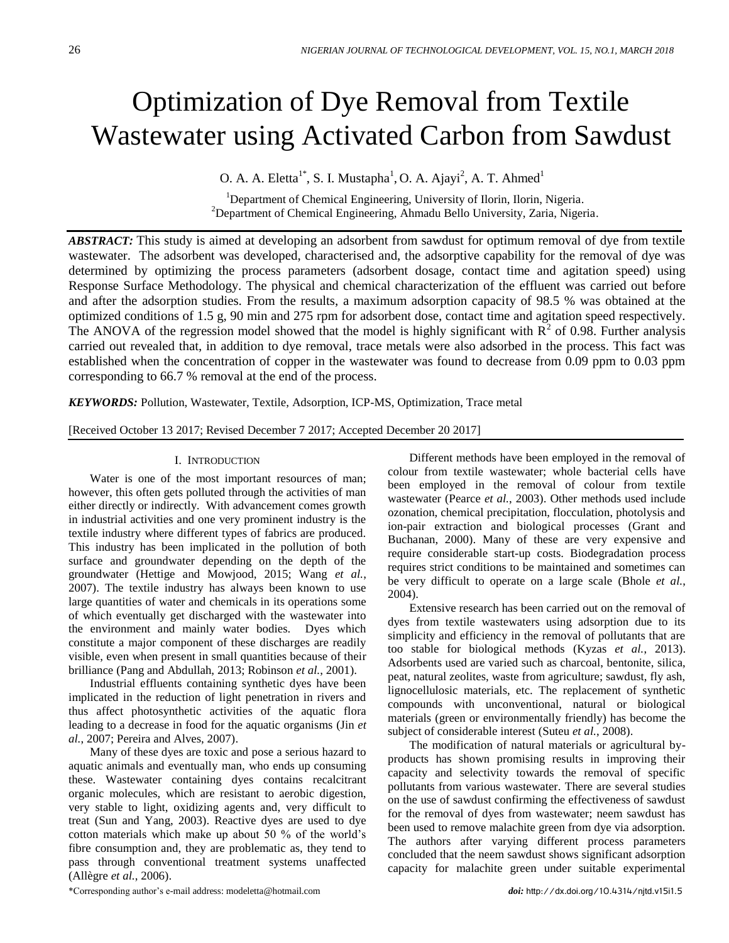# Optimization of Dye Removal from Textile Wastewater using Activated Carbon from Sawdust

O. A. A. Eletta<sup>1\*</sup>, S. I. Mustapha<sup>1</sup>, O. A. Ajayi<sup>2</sup>, A. T. Ahmed<sup>1</sup>

<sup>1</sup>Department of Chemical Engineering, University of Ilorin, Ilorin, Nigeria. <sup>2</sup>Department of Chemical Engineering, Ahmadu Bello University, Zaria, Nigeria.

*ABSTRACT:* This study is aimed at developing an adsorbent from sawdust for optimum removal of dye from textile wastewater. The adsorbent was developed, characterised and, the adsorptive capability for the removal of dye was determined by optimizing the process parameters (adsorbent dosage, contact time and agitation speed) using Response Surface Methodology. The physical and chemical characterization of the effluent was carried out before and after the adsorption studies. From the results, a maximum adsorption capacity of 98.5 % was obtained at the optimized conditions of 1.5 g, 90 min and 275 rpm for adsorbent dose, contact time and agitation speed respectively. The ANOVA of the regression model showed that the model is highly significant with  $\mathbb{R}^2$  of 0.98. Further analysis carried out revealed that, in addition to dye removal, trace metals were also adsorbed in the process. This fact was established when the concentration of copper in the wastewater was found to decrease from 0.09 ppm to 0.03 ppm corresponding to 66.7 % removal at the end of the process.

*KEYWORDS:* Pollution, Wastewater, Textile, Adsorption, ICP-MS, Optimization, Trace metal

[Received October 13 2017; Revised December 7 2017; Accepted December 20 2017]

## I. INTRODUCTION

Water is one of the most important resources of man; however, this often gets polluted through the activities of man either directly or indirectly. With advancement comes growth in industrial activities and one very prominent industry is the textile industry where different types of fabrics are produced. This industry has been implicated in the pollution of both surface and groundwater depending on the depth of the groundwater (Hettige and Mowjood, 2015; Wang *et al.*, 2007). The textile industry has always been known to use large quantities of water and chemicals in its operations some of which eventually get discharged with the wastewater into the environment and mainly water bodies. Dyes which constitute a major component of these discharges are readily visible, even when present in small quantities because of their brilliance (Pang and Abdullah, 2013; Robinson *et al.*, 2001).

Industrial effluents containing synthetic dyes have been implicated in the reduction of light penetration in rivers and thus affect photosynthetic activities of the aquatic flora leading to a decrease in food for the aquatic organisms (Jin *et al.*, 2007; Pereira and Alves, 2007).

Many of these dyes are toxic and pose a serious hazard to aquatic animals and eventually man, who ends up consuming these. Wastewater containing dyes contains recalcitrant organic molecules, which are resistant to aerobic digestion, very stable to light, oxidizing agents and, very difficult to treat (Sun and Yang, 2003). Reactive dyes are used to dye cotton materials which make up about 50 % of the world's fibre consumption and, they are problematic as, they tend to pass through conventional treatment systems unaffected (Allègre *et al.*, 2006).

Different methods have been employed in the removal of colour from textile wastewater; whole bacterial cells have been employed in the removal of colour from textile wastewater (Pearce *et al.*, 2003). Other methods used include ozonation, chemical precipitation, flocculation, photolysis and ion-pair extraction and biological processes (Grant and Buchanan, 2000). Many of these are very expensive and require considerable start-up costs. Biodegradation process requires strict conditions to be maintained and sometimes can be very difficult to operate on a large scale (Bhole *et al.*, 2004).

Extensive research has been carried out on the removal of dyes from textile wastewaters using adsorption due to its simplicity and efficiency in the removal of pollutants that are too stable for biological methods (Kyzas *et al.*, 2013). Adsorbents used are varied such as charcoal, bentonite, silica, peat, natural zeolites, waste from agriculture; sawdust, fly ash, lignocellulosic materials, etc. The replacement of synthetic compounds with unconventional, natural or biological materials (green or environmentally friendly) has become the subject of considerable interest (Suteu *et al.*, 2008).

The modification of natural materials or agricultural byproducts has shown promising results in improving their capacity and selectivity towards the removal of specific pollutants from various wastewater. There are several studies on the use of sawdust confirming the effectiveness of sawdust for the removal of dyes from wastewater; neem sawdust has been used to remove malachite green from dye via adsorption. The authors after varying different process parameters concluded that the neem sawdust shows significant adsorption capacity for malachite green under suitable experimental

\*Corresponding author's e-mail address: modeletta@hotmail.com *doi:* http://dx.doi.org/10.4314/njtd.v15i1.5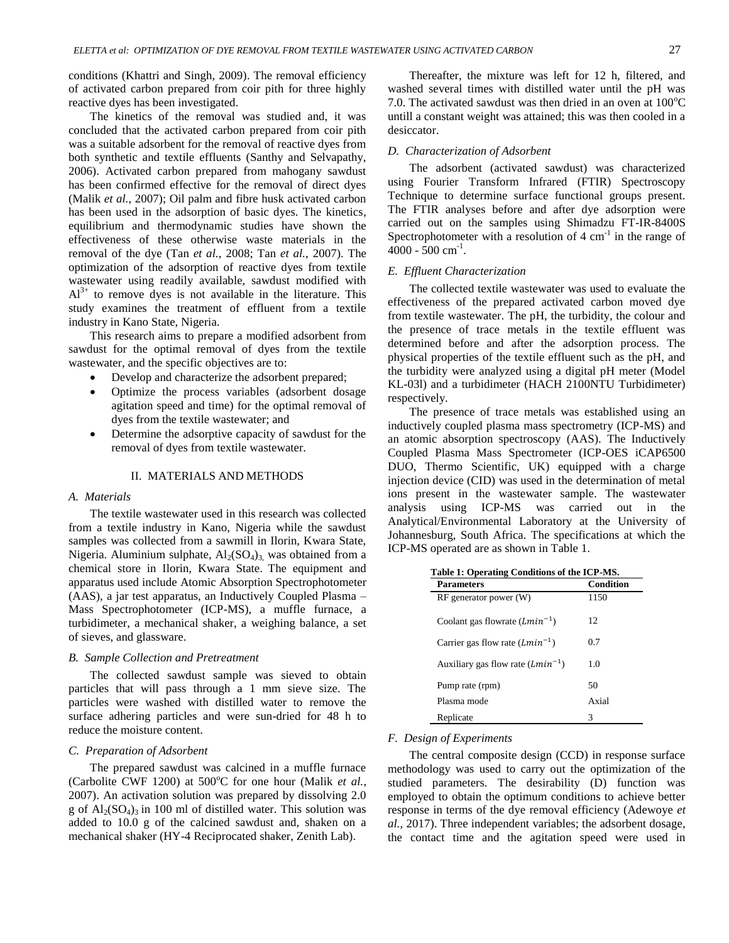conditions (Khattri and Singh, 2009). The removal efficiency of activated carbon prepared from coir pith for three highly reactive dyes has been investigated.

The kinetics of the removal was studied and, it was concluded that the activated carbon prepared from coir pith was a suitable adsorbent for the removal of reactive dyes from both synthetic and textile effluents (Santhy and Selvapathy, 2006). Activated carbon prepared from mahogany sawdust has been confirmed effective for the removal of direct dyes (Malik *et al.*, 2007); Oil palm and fibre husk activated carbon has been used in the adsorption of basic dyes. The kinetics, equilibrium and thermodynamic studies have shown the effectiveness of these otherwise waste materials in the removal of the dye (Tan *et al.*, 2008; Tan *et al.*, 2007). The optimization of the adsorption of reactive dyes from textile wastewater using readily available, sawdust modified with  $Al^{3+}$  to remove dyes is not available in the literature. This study examines the treatment of effluent from a textile industry in Kano State, Nigeria.

This research aims to prepare a modified adsorbent from sawdust for the optimal removal of dyes from the textile wastewater, and the specific objectives are to:

- Develop and characterize the adsorbent prepared;
- Optimize the process variables (adsorbent dosage agitation speed and time) for the optimal removal of dyes from the textile wastewater; and
- Determine the adsorptive capacity of sawdust for the removal of dyes from textile wastewater.

## II. MATERIALS AND METHODS

#### *A. Materials*

The textile wastewater used in this research was collected from a textile industry in Kano, Nigeria while the sawdust samples was collected from a sawmill in Ilorin, Kwara State, Nigeria. Aluminium sulphate,  $Al_2(SO_4)_3$  was obtained from a chemical store in Ilorin, Kwara State. The equipment and apparatus used include Atomic Absorption Spectrophotometer (AAS), a jar test apparatus, an Inductively Coupled Plasma – Mass Spectrophotometer (ICP-MS), a muffle furnace, a turbidimeter, a mechanical shaker, a weighing balance, a set of sieves, and glassware.

#### *B. Sample Collection and Pretreatment*

The collected sawdust sample was sieved to obtain particles that will pass through a 1 mm sieve size. The particles were washed with distilled water to remove the surface adhering particles and were sun-dried for 48 h to reduce the moisture content.

#### *C. Preparation of Adsorbent*

The prepared sawdust was calcined in a muffle furnace (Carbolite CWF 1200) at  $500^{\circ}$ C for one hour (Malik *et al.*, 2007). An activation solution was prepared by dissolving 2.0 g of  $\text{Al}_2(\text{SO}_4)$ <sub>3</sub> in 100 ml of distilled water. This solution was added to 10.0 g of the calcined sawdust and, shaken on a mechanical shaker (HY-4 Reciprocated shaker, Zenith Lab).

Thereafter, the mixture was left for 12 h, filtered, and washed several times with distilled water until the pH was 7.0. The activated sawdust was then dried in an oven at  $100^{\circ}$ C untill a constant weight was attained; this was then cooled in a desiccator.

## *D. Characterization of Adsorbent*

The adsorbent (activated sawdust) was characterized using Fourier Transform Infrared (FTIR) Spectroscopy Technique to determine surface functional groups present. The FTIR analyses before and after dye adsorption were carried out on the samples using Shimadzu FT-IR-8400S Spectrophotometer with a resolution of  $4 \text{ cm}^{-1}$  in the range of  $4000 - 500$  cm<sup>-1</sup>.

#### *E. Effluent Characterization*

The collected textile wastewater was used to evaluate the effectiveness of the prepared activated carbon moved dye from textile wastewater. The pH, the turbidity, the colour and the presence of trace metals in the textile effluent was determined before and after the adsorption process. The physical properties of the textile effluent such as the pH, and the turbidity were analyzed using a digital pH meter (Model KL-03l) and a turbidimeter (HACH 2100NTU Turbidimeter) respectively.

The presence of trace metals was established using an inductively coupled plasma mass spectrometry (ICP-MS) and an atomic absorption spectroscopy (AAS). The Inductively Coupled Plasma Mass Spectrometer (ICP-OES iCAP6500 DUO, Thermo Scientific, UK) equipped with a charge injection device (CID) was used in the determination of metal ions present in the wastewater sample. The wastewater analysis using ICP-MS was carried out in the Analytical/Environmental Laboratory at the University of Johannesburg, South Africa. The specifications at which the ICP-MS operated are as shown in Table 1.

| <b>Parameters</b>                     | <b>Condition</b> |
|---------------------------------------|------------------|
| $RF$ generator power $(W)$            | 1150             |
| Coolant gas flowrate $(Lmin^{-1})$    | 12               |
| Carrier gas flow rate $(Lmin^{-1})$   | 0.7              |
| Auxiliary gas flow rate $(Lmin^{-1})$ | 1.0              |
| Pump rate (rpm)                       | 50               |
| Plasma mode                           | Axial            |
| Replicate                             | 3                |

### *F. Design of Experiments*

The central composite design (CCD) in response surface methodology was used to carry out the optimization of the studied parameters. The desirability (D) function was employed to obtain the optimum conditions to achieve better response in terms of the dye removal efficiency (Adewoye *et al.,* 2017). Three independent variables; the adsorbent dosage, the contact time and the agitation speed were used in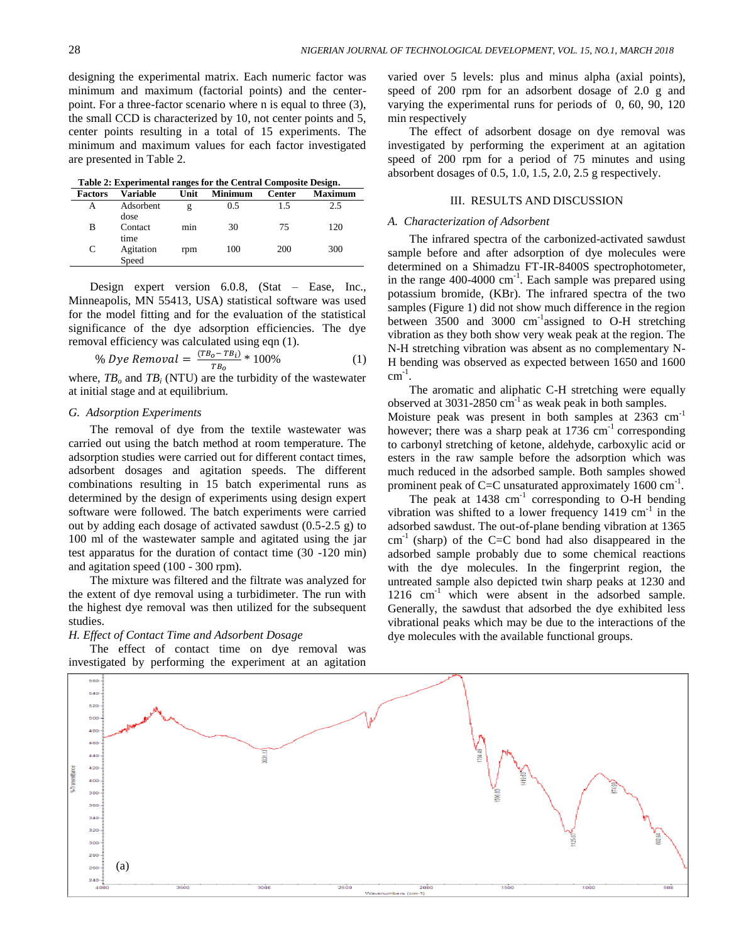designing the experimental matrix. Each numeric factor was varied over 5 levels: plus and minus alpha (axial points), minimum and maximum (factorial points) and the centerpoint. For a three-factor scenario where n is equal to three (3), the small CCD is characterized by 10, not center points and 5, center points resulting in a total of 15 experiments. The minimum and maximum values for each factor investigated are presented in Table 2.

 **Table 2: Experimental ranges for the Central Composite Design.**

| <b>Factors</b> | <b>Variable</b>         | . .<br>Unit | <b>Minimum</b> | <b>Center</b> | . .<br><b>Maximum</b> |
|----------------|-------------------------|-------------|----------------|---------------|-----------------------|
| А              | Adsorbent               | g           | 0.5            | 1.5           | 2.5                   |
| в              | dose<br>Contact<br>time | min         | 30             | 75            | 120                   |
| C              | Agitation<br>Speed      | rpm         | 100            | 200           | 300                   |

Design expert version 6.0.8, (Stat – Ease, Inc., Minneapolis, MN 55413, USA) statistical software was used for the model fitting and for the evaluation of the statistical significance of the dye adsorption efficiencies. The dye removal efficiency was calculated using eqn (1).

% *Dye Removal* = 
$$
\frac{(TB_0 - TB_i)}{TB_0} * 100\%
$$
 (1)

where,  $TB_o$  and  $TB_i$  (NTU) are the turbidity of the wastewater at initial stage and at equilibrium.

## *G. Adsorption Experiments*

The removal of dye from the textile wastewater was carried out using the batch method at room temperature. The adsorption studies were carried out for different contact times, adsorbent dosages and agitation speeds. The different combinations resulting in 15 batch experimental runs as determined by the design of experiments using design expert software were followed. The batch experiments were carried out by adding each dosage of activated sawdust (0.5-2.5 g) to 100 ml of the wastewater sample and agitated using the jar test apparatus for the duration of contact time (30 -120 min) and agitation speed (100 - 300 rpm).

The mixture was filtered and the filtrate was analyzed for the extent of dye removal using a turbidimeter. The run with the highest dye removal was then utilized for the subsequent studies.

## *H. Effect of Contact Time and Adsorbent Dosage*

The effect of contact time on dye removal was investigated by performing the experiment at an agitation

speed of 200 rpm for an adsorbent dosage of 2.0 g and varying the experimental runs for periods of 0, 60, 90, 120 min respectively

The effect of adsorbent dosage on dye removal was investigated by performing the experiment at an agitation speed of 200 rpm for a period of 75 minutes and using absorbent dosages of  $0.5$ ,  $1.0$ ,  $1.5$ ,  $2.0$ ,  $2.5$  g respectively.

## III. RESULTS AND DISCUSSION

### *A. Characterization of Adsorbent*

The infrared spectra of the carbonized-activated sawdust sample before and after adsorption of dye molecules were determined on a Shimadzu FT-IR-8400S spectrophotometer, in the range 400-4000 cm<sup>-1</sup>. Each sample was prepared using potassium bromide, (KBr). The infrared spectra of the two samples (Figure 1) did not show much difference in the region between 3500 and 3000 cm<sup>-1</sup>assigned to O-H stretching vibration as they both show very weak peak at the region. The N-H stretching vibration was absent as no complementary N-H bending was observed as expected between 1650 and 1600  $cm^{-1}$ .

The aromatic and aliphatic C-H stretching were equally observed at  $3031-2850$  cm<sup>-1</sup> as weak peak in both samples. Moisture peak was present in both samples at 2363 cm<sup>-1</sup> however; there was a sharp peak at  $1736 \text{ cm}^{-1}$  corresponding to carbonyl stretching of ketone, aldehyde, carboxylic acid or esters in the raw sample before the adsorption which was much reduced in the adsorbed sample. Both samples showed prominent peak of C=C unsaturated approximately  $1600 \text{ cm}^{-1}$ .

The peak at  $1438 \text{ cm}^{-1}$  corresponding to O-H bending vibration was shifted to a lower frequency  $1419 \text{ cm}^{-1}$  in the adsorbed sawdust. The out-of-plane bending vibration at 1365  $cm^{-1}$  (sharp) of the C=C bond had also disappeared in the adsorbed sample probably due to some chemical reactions with the dye molecules. In the fingerprint region, the untreated sample also depicted twin sharp peaks at 1230 and 1216 cm<sup>-1</sup> which were absent in the adsorbed sample. Generally, the sawdust that adsorbed the dye exhibited less vibrational peaks which may be due to the interactions of the dye molecules with the available functional groups.

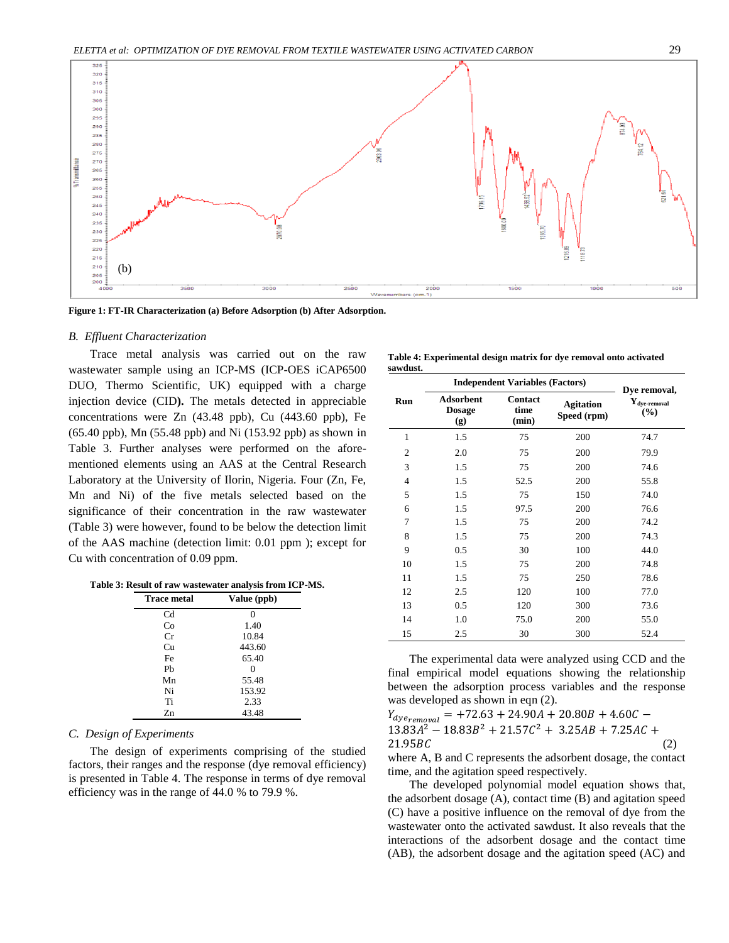

**Figure 1: FT-IR Characterization (a) Before Adsorption (b) After Adsorption.**

#### *B. Effluent Characterization*

Trace metal analysis was carried out on the raw wastewater sample using an ICP-MS (ICP-OES iCAP6500 DUO, Thermo Scientific, UK) equipped with a charge injection device (CID**).** The metals detected in appreciable concentrations were Zn (43.48 ppb), Cu (443.60 ppb), Fe (65.40 ppb), Mn (55.48 ppb) and Ni (153.92 ppb) as shown in Table 3. Further analyses were performed on the aforementioned elements using an AAS at the Central Research Laboratory at the University of Ilorin, Nigeria. Four (Zn, Fe, Mn and Ni) of the five metals selected based on the significance of their concentration in the raw wastewater (Table 3) were however, found to be below the detection limit of the AAS machine (detection limit: 0.01 ppm ); except for Cu with concentration of 0.09 ppm.

| Table 3: Result of raw wastewater analysis from ICP-MS. |  |  |
|---------------------------------------------------------|--|--|
|---------------------------------------------------------|--|--|

| Trace metal    | Value (ppb) |
|----------------|-------------|
| C <sub>d</sub> | 0           |
| Co             | 1.40        |
| Сr             | 10.84       |
| Cu             | 443.60      |
| Fe             | 65.40       |
| Pb             | 0           |
| Mn             | 55.48       |
| Ni             | 153.92      |
| Ti             | 2.33        |
| Zn             | 43.48       |

#### *C. Design of Experiments*

The design of experiments comprising of the studied factors, their ranges and the response (dye removal efficiency) is presented in Table 4. The response in terms of dye removal efficiency was in the range of 44.0 % to 79.9 %.

|          | Table 4: Experimental design matrix for dye removal onto activated |  |  |  |
|----------|--------------------------------------------------------------------|--|--|--|
| sawdust. |                                                                    |  |  |  |

|                |                                          | <b>Independent Variables (Factors)</b> |                                 | Dye removal,                             |  |
|----------------|------------------------------------------|----------------------------------------|---------------------------------|------------------------------------------|--|
| Run            | <b>Adsorbent</b><br><b>Dosage</b><br>(g) | <b>Contact</b><br>time<br>(min)        | <b>Agitation</b><br>Speed (rpm) | $\mathbf{Y}_{\text{dye-removal}}$<br>(%) |  |
| $\mathbf{1}$   | 1.5                                      | 75                                     | 200                             | 74.7                                     |  |
| $\overline{2}$ | 2.0                                      | 75                                     | 200                             | 79.9                                     |  |
| 3              | 1.5                                      | 75                                     | 200                             | 74.6                                     |  |
| 4              | 1.5                                      | 52.5                                   | 200                             | 55.8                                     |  |
| 5              | 1.5                                      | 75                                     | 150                             | 74.0                                     |  |
| 6              | 1.5                                      | 97.5                                   | 200                             | 76.6                                     |  |
| 7              | 1.5                                      | 75                                     | 200                             | 74.2                                     |  |
| 8              | 1.5                                      | 75                                     | 200                             | 74.3                                     |  |
| 9              | 0.5                                      | 30                                     | 100                             | 44.0                                     |  |
| 10             | 1.5                                      | 75                                     | 200                             | 74.8                                     |  |
| 11             | 1.5                                      | 75                                     | 250                             | 78.6                                     |  |
| 12             | 2.5                                      | 120                                    | 100                             | 77.0                                     |  |
| 13             | 0.5                                      | 120                                    | 300                             | 73.6                                     |  |
| 14             | 1.0                                      | 75.0                                   | 200                             | 55.0                                     |  |
| 15             | 2.5                                      | 30                                     | 300                             | 52.4                                     |  |

The experimental data were analyzed using CCD and the final empirical model equations showing the relationship between the adsorption process variables and the response was developed as shown in eqn (2).

 $Y_{dye_{remopal}}$  = +72.63 + 24.90A + 20.80B + 4.60C –  $13.83A^2 - 18.83B^2 + 21.57C^2$  $21.95BC$  (2) where A, B and C represents the adsorbent dosage, the contact time, and the agitation speed respectively.

The developed polynomial model equation shows that, the adsorbent dosage (A), contact time (B) and agitation speed (C) have a positive influence on the removal of dye from the wastewater onto the activated sawdust. It also reveals that the interactions of the adsorbent dosage and the contact time (AB), the adsorbent dosage and the agitation speed (AC) and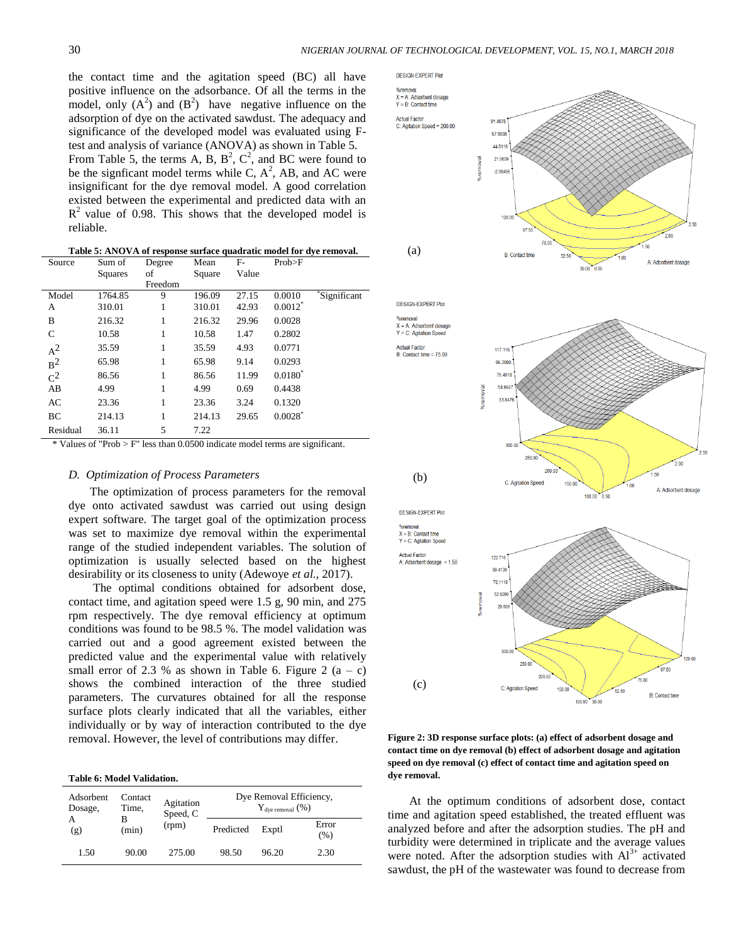the contact time and the agitation speed (BC) all have positive influence on the adsorbance. Of all the terms in the model, only  $(A^2)$  and  $(B^2)$  have negative influence on the adsorption of dye on the activated sawdust. The adequacy and significance of the developed model was evaluated using Ftest and analysis of variance (ANOVA) as shown in Table 5. From Table 5, the terms A, B,  $B^2$ ,  $C^2$ , and BC were found to be the signficant model terms while C,  $A^2$ , AB, and AC were insignificant for the dye removal model. A good correlation existed between the experimental and predicted data with an  $R<sup>2</sup>$  value of 0.98. This shows that the developed model is reliable.

**Table 5: ANOVA of response surface quadratic model for dye removal.**

| Source         | Sum of  | Degree  | Mean   | $F-$  | Prob>F                |             |
|----------------|---------|---------|--------|-------|-----------------------|-------------|
|                | Squares | of      | Square | Value |                       |             |
|                |         | Freedom |        |       |                       |             |
| Model          | 1764.85 | 9       | 196.09 | 27.15 | 0.0010                | Significant |
| A              | 310.01  | 1       | 310.01 | 42.93 | $0.0012^*$            |             |
| B              | 216.32  | 1       | 216.32 | 29.96 | 0.0028                |             |
| C              | 10.58   | 1       | 10.58  | 1.47  | 0.2802                |             |
| $A^2$          | 35.59   | 1       | 35.59  | 4.93  | 0.0771                |             |
| B <sup>2</sup> | 65.98   | 1       | 65.98  | 9.14  | 0.0293                |             |
| $C^2$          | 86.56   | 1       | 86.56  | 11.99 | $0.0180^*$            |             |
| AB             | 4.99    | 1       | 4.99   | 0.69  | 0.4438                |             |
| AC             | 23.36   | 1       | 23.36  | 3.24  | 0.1320                |             |
| BC             | 214.13  | 1       | 214.13 | 29.65 | $0.0028$ <sup>*</sup> |             |
| Residual       | 36.11   | 5       | 7.22   |       |                       |             |

Values of "Prob  $>$  F" less than 0.0500 indicate model terms are significant.

## *D. Optimization of Process Parameters*

The optimization of process parameters for the removal dye onto activated sawdust was carried out using design expert software. The target goal of the optimization process was set to maximize dye removal within the experimental range of the studied independent variables. The solution of optimization is usually selected based on the highest desirability or its closeness to unity (Adewoye *et al.,* 2017).

The optimal conditions obtained for adsorbent dose, contact time, and agitation speed were 1.5 g, 90 min, and 275 rpm respectively. The dye removal efficiency at optimum conditions was found to be 98.5 %. The model validation was carried out and a good agreement existed between the predicted value and the experimental value with relatively small error of 2.3 % as shown in Table 6. Figure 2  $(a - c)$ shows the combined interaction of the three studied parameters. The curvatures obtained for all the response surface plots clearly indicated that all the variables, either individually or by way of interaction contributed to the dye removal. However, the level of contributions may differ.

#### **Table 6: Model Validation.**

| Adsorbent<br>Dosage, | Contact<br>Time,<br>(min) | Agitation<br>Speed, C |       | $Y_{\text{dye removal}}$ (%) | Dye Removal Efficiency, |
|----------------------|---------------------------|-----------------------|-------|------------------------------|-------------------------|
| (g)                  |                           | (rpm)<br>Predicted    |       | Exptl                        | Error<br>(% )           |
| 1.50                 | 90.00                     | 275.00                | 98.50 | 96.20                        | 2.30                    |



**Figure 2: 3D response surface plots: (a) effect of adsorbent dosage and contact time on dye removal (b) effect of adsorbent dosage and agitation speed on dye removal (c) effect of contact time and agitation speed on dye removal.**

100.00

At the optimum conditions of adsorbent dose, contact time and agitation speed established, the treated effluent was analyzed before and after the adsorption studies. The pH and turbidity were determined in triplicate and the average values were noted. After the adsorption studies with  $Al<sup>3+</sup>$  activated sawdust, the pH of the wastewater was found to decrease from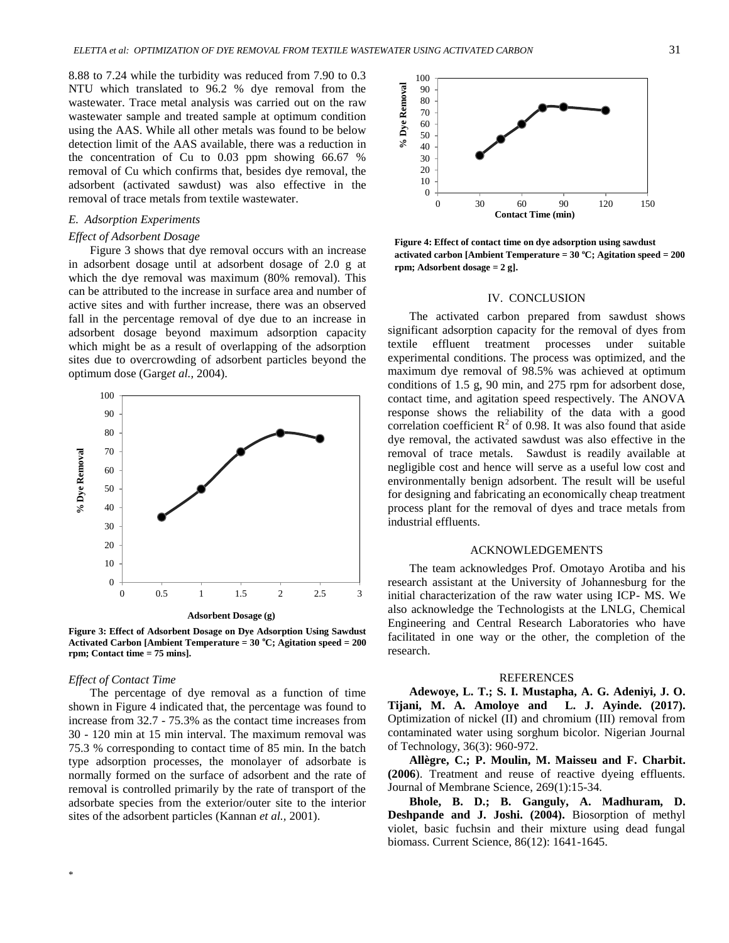8.88 to 7.24 while the turbidity was reduced from 7.90 to 0.3 NTU which translated to 96.2 % dye removal from the wastewater. Trace metal analysis was carried out on the raw wastewater sample and treated sample at optimum condition using the AAS. While all other metals was found to be below detection limit of the AAS available, there was a reduction in the concentration of Cu to 0.03 ppm showing 66.67 % removal of Cu which confirms that, besides dye removal, the adsorbent (activated sawdust) was also effective in the removal of trace metals from textile wastewater.

## *E. Adsorption Experiments*

### *Effect of Adsorbent Dosage*

Figure 3 shows that dye removal occurs with an increase in adsorbent dosage until at adsorbent dosage of 2.0 g at which the dye removal was maximum (80% removal). This can be attributed to the increase in surface area and number of active sites and with further increase, there was an observed fall in the percentage removal of dye due to an increase in adsorbent dosage beyond maximum adsorption capacity which might be as a result of overlapping of the adsorption sites due to overcrowding of adsorbent particles beyond the optimum dose (Garg*et al.,* 2004).



**Figure 3: Effect of Adsorbent Dosage on Dye Adsorption Using Sawdust Activated Carbon [Ambient Temperature = 30 <sup>o</sup>C; Agitation speed = 200 rpm; Contact time = 75 mins].**

### *Effect of Contact Time*

The percentage of dye removal as a function of time shown in Figure 4 indicated that, the percentage was found to increase from 32.7 - 75.3% as the contact time increases from 30 - 120 min at 15 min interval. The maximum removal was 75.3 % corresponding to contact time of 85 min. In the batch type adsorption processes, the monolayer of adsorbate is normally formed on the surface of adsorbent and the rate of removal is controlled primarily by the rate of transport of the adsorbate species from the exterior/outer site to the interior sites of the adsorbent particles (Kannan *et al.,* 2001).



**Figure 4: Effect of contact time on dye adsorption using sawdust activated carbon [Ambient Temperature =**  $30^{\circ}$ **C; Agitation speed =**  $200$ **rpm; Adsorbent dosage = 2 g].** 

#### IV. CONCLUSION

The activated carbon prepared from sawdust shows significant adsorption capacity for the removal of dyes from textile effluent treatment processes under suitable experimental conditions. The process was optimized, and the maximum dye removal of 98.5% was achieved at optimum conditions of 1.5 g, 90 min, and 275 rpm for adsorbent dose, contact time, and agitation speed respectively. The ANOVA response shows the reliability of the data with a good correlation coefficient  $R^2$  of 0.98. It was also found that aside dye removal, the activated sawdust was also effective in the removal of trace metals. Sawdust is readily available at negligible cost and hence will serve as a useful low cost and environmentally benign adsorbent. The result will be useful for designing and fabricating an economically cheap treatment process plant for the removal of dyes and trace metals from industrial effluents.

#### ACKNOWLEDGEMENTS

The team acknowledges Prof. Omotayo Arotiba and his research assistant at the University of Johannesburg for the initial characterization of the raw water using ICP- MS. We also acknowledge the Technologists at the LNLG, Chemical Engineering and Central Research Laboratories who have facilitated in one way or the other, the completion of the research.

#### REFERENCES

**Adewoye, L. T.; S. I. Mustapha, A. G. Adeniyi, J. O. Tijani, M. A. Amoloye and L. J. Ayinde. (2017).** Optimization of nickel (II) and chromium (III) removal from contaminated water using sorghum bicolor. Nigerian Journal of Technology, 36(3): 960-972.

**Allègre, C.; P. Moulin, M. Maisseu and F. Charbit. (2006**). Treatment and reuse of reactive dyeing effluents. Journal of Membrane Science, 269(1):15-34.

**Bhole, B. D.; B. Ganguly, A. Madhuram, D. Deshpande and J. Joshi. (2004).** Biosorption of methyl violet, basic fuchsin and their mixture using dead fungal biomass. Current Science, 86(12): 1641-1645.

\*Corresponding author's e-mail address: modeletta@hotmail.com *doi:* http://dx.doi.org/10.4314/njtd.v15i1.5